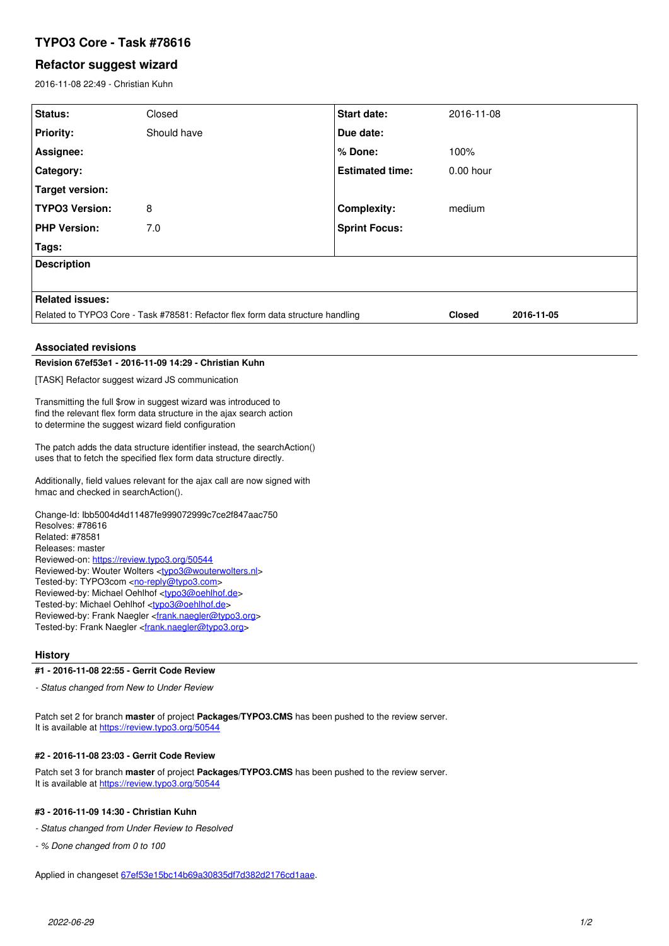# **TYPO3 Core - Task #78616**

### **Refactor suggest wizard**

2016-11-08 22:49 - Christian Kuhn

| Status:                                                                                                                                             | Closed      | <b>Start date:</b>     | 2016-11-08    |            |
|-----------------------------------------------------------------------------------------------------------------------------------------------------|-------------|------------------------|---------------|------------|
| <b>Priority:</b>                                                                                                                                    | Should have | Due date:              |               |            |
| Assignee:                                                                                                                                           |             | % Done:                | 100%          |            |
| Category:                                                                                                                                           |             | <b>Estimated time:</b> | $0.00$ hour   |            |
| <b>Target version:</b>                                                                                                                              |             |                        |               |            |
| <b>TYPO3 Version:</b>                                                                                                                               | 8           | <b>Complexity:</b>     | medium        |            |
| <b>PHP Version:</b>                                                                                                                                 | 7.0         | <b>Sprint Focus:</b>   |               |            |
| Tags:                                                                                                                                               |             |                        |               |            |
| <b>Description</b>                                                                                                                                  |             |                        |               |            |
|                                                                                                                                                     |             |                        |               |            |
| <b>Related issues:</b>                                                                                                                              |             |                        |               |            |
| Related to TYPO3 Core - Task #78581: Refactor flex form data structure handling                                                                     |             |                        | <b>Closed</b> | 2016-11-05 |
|                                                                                                                                                     |             |                        |               |            |
| <b>Associated revisions</b>                                                                                                                         |             |                        |               |            |
| Revision 67ef53e1 - 2016-11-09 14:29 - Christian Kuhn                                                                                               |             |                        |               |            |
| [TASK] Refactor suggest wizard JS communication                                                                                                     |             |                        |               |            |
| Transmitting the full \$row in suggest wizard was introduced to                                                                                     |             |                        |               |            |
| find the relevant flex form data structure in the ajax search action<br>to determine the suggest wizard field configuration                         |             |                        |               |            |
| The patch adds the data structure identifier instead, the search Action()                                                                           |             |                        |               |            |
| uses that to fetch the specified flex form data structure directly.                                                                                 |             |                        |               |            |
| Additionally, field values relevant for the ajax call are now signed with                                                                           |             |                        |               |            |
| hmac and checked in searchAction().                                                                                                                 |             |                        |               |            |
| Change-Id: lbb5004d4d11487fe999072999c7ce2f847aac750                                                                                                |             |                        |               |            |
| Resolves: #78616                                                                                                                                    |             |                        |               |            |
| Related: #78581<br>Releases: master                                                                                                                 |             |                        |               |            |
| Reviewed-on: https://review.typo3.org/50544                                                                                                         |             |                        |               |            |
| Reviewed-by: Wouter Wolters <typo3@wouterwolters.nl><br/>Tested-by: TYPO3com <no-reply@typo3.com></no-reply@typo3.com></typo3@wouterwolters.nl>     |             |                        |               |            |
| Reviewed-by: Michael Oehlhof <typo3@oehlhof.de></typo3@oehlhof.de>                                                                                  |             |                        |               |            |
| Tested-by: Michael Oehlhof <typo3@oehlhof.de><br/>Reviewed-by: Frank Naegler <frank.naegler@typo3.org></frank.naegler@typo3.org></typo3@oehlhof.de> |             |                        |               |            |
| Tested-by: Frank Naegler <frank.naegler@typo3.org></frank.naegler@typo3.org>                                                                        |             |                        |               |            |
| <b>History</b>                                                                                                                                      |             |                        |               |            |

#### **#1 - 2016-11-08 22:55 - Gerrit Code Review**

*- Status changed from New to Under Review*

Patch set 2 for branch **master** of project **Packages/TYPO3.CMS** has been pushed to the review server. It is available at <https://review.typo3.org/50544>

### **#2 - 2016-11-08 23:03 - Gerrit Code Review**

Patch set 3 for branch **master** of project **Packages/TYPO3.CMS** has been pushed to the review server. It is available at <https://review.typo3.org/50544>

#### **#3 - 2016-11-09 14:30 - Christian Kuhn**

*- Status changed from Under Review to Resolved*

*- % Done changed from 0 to 100*

Applied in changeset [67ef53e15bc14b69a30835df7d382d2176cd1aae](https://forge.typo3.org/projects/typo3cms-core/repository/1749/revisions/67ef53e15bc14b69a30835df7d382d2176cd1aae).